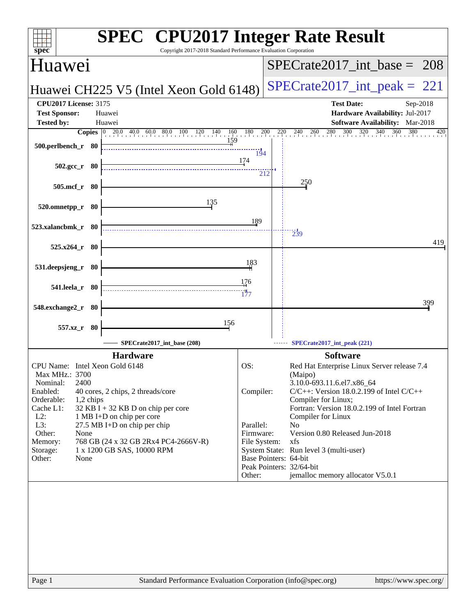| spec <sup>®</sup>                  | <b>SPEC<sup>®</sup> CPU2017 Integer Rate Result</b><br>Copyright 2017-2018 Standard Performance Evaluation Corporation |                       |                                                                                           |
|------------------------------------|------------------------------------------------------------------------------------------------------------------------|-----------------------|-------------------------------------------------------------------------------------------|
| <b>Huawei</b>                      |                                                                                                                        |                       | $SPECTate2017\_int\_base = 208$                                                           |
|                                    | Huawei CH225 V5 (Intel Xeon Gold 6148)                                                                                 |                       | $SPECrate2017\_int\_peak = 221$                                                           |
| <b>CPU2017 License: 3175</b>       |                                                                                                                        |                       | <b>Test Date:</b><br>Sep-2018                                                             |
| <b>Test Sponsor:</b>               | Huawei                                                                                                                 |                       | Hardware Availability: Jul-2017                                                           |
| <b>Tested by:</b>                  | Huawei                                                                                                                 |                       | <b>Software Availability:</b> Mar-2018                                                    |
|                                    | <b>Copies</b> 0 20.0 40.0 60.0 80.0 100 120 140 160 180<br>159                                                         | $^{200}$              | $220$ $240$ $260$ $280$<br>$\frac{300}{1}$<br>$\frac{320}{1}$<br>340<br>360<br>380<br>420 |
| 500.perlbench_r 80                 |                                                                                                                        |                       |                                                                                           |
|                                    |                                                                                                                        | 194<br>174            |                                                                                           |
| $502.\text{gcc r}$ 80              |                                                                                                                        | 212                   |                                                                                           |
|                                    |                                                                                                                        |                       | 250                                                                                       |
| 505.mcf_r 80                       |                                                                                                                        |                       |                                                                                           |
| 520.omnetpp_r 80                   | 135                                                                                                                    |                       |                                                                                           |
|                                    |                                                                                                                        |                       |                                                                                           |
| 523.xalancbmk_r 80                 |                                                                                                                        | 189                   |                                                                                           |
|                                    |                                                                                                                        |                       | $\frac{1}{239}$                                                                           |
| 525.x264 r 80                      |                                                                                                                        |                       | 419                                                                                       |
|                                    |                                                                                                                        | 183                   |                                                                                           |
| 531.deepsjeng_r 80                 |                                                                                                                        |                       |                                                                                           |
|                                    |                                                                                                                        | 176                   |                                                                                           |
| 541.leela_r 80                     |                                                                                                                        |                       |                                                                                           |
|                                    |                                                                                                                        |                       | 399                                                                                       |
| 548.exchange2_r 80                 |                                                                                                                        |                       |                                                                                           |
| 557.xz_r 80                        | 156                                                                                                                    |                       |                                                                                           |
|                                    |                                                                                                                        |                       |                                                                                           |
|                                    | SPECrate2017_int_base (208)                                                                                            |                       | SPECrate2017_int_peak (221)                                                               |
|                                    | <b>Hardware</b>                                                                                                        |                       | <b>Software</b>                                                                           |
| CPU Name: Intel Xeon Gold 6148     |                                                                                                                        | OS:                   | Red Hat Enterprise Linux Server release 7.4                                               |
| Max MHz.: 3700<br>2400<br>Nominal: |                                                                                                                        |                       | (Maipo)<br>3.10.0-693.11.6.el7.x86_64                                                     |
| Enabled:                           | 40 cores, 2 chips, 2 threads/core                                                                                      | Compiler:             | $C/C++$ : Version 18.0.2.199 of Intel $C/C++$                                             |
| Orderable:<br>1,2 chips            |                                                                                                                        |                       | Compiler for Linux;                                                                       |
| Cache L1:<br>$L2$ :                | $32$ KB I + 32 KB D on chip per core<br>1 MB I+D on chip per core                                                      |                       | Fortran: Version 18.0.2.199 of Intel Fortran                                              |
| L3:                                | 27.5 MB I+D on chip per chip                                                                                           | Parallel:             | Compiler for Linux<br>N <sub>0</sub>                                                      |
| Other:<br>None                     |                                                                                                                        | Firmware:             | Version 0.80 Released Jun-2018                                                            |
| Memory:                            | 768 GB (24 x 32 GB 2Rx4 PC4-2666V-R)                                                                                   | File System:          | xfs                                                                                       |
| Storage:<br>Other:<br>None         | 1 x 1200 GB SAS, 10000 RPM                                                                                             | Base Pointers: 64-bit | System State: Run level 3 (multi-user)                                                    |
|                                    |                                                                                                                        |                       | Peak Pointers: 32/64-bit                                                                  |
|                                    |                                                                                                                        | Other:                | jemalloc memory allocator V5.0.1                                                          |
|                                    |                                                                                                                        |                       |                                                                                           |
| Page 1                             | Standard Performance Evaluation Corporation (info@spec.org)                                                            |                       | https://www.spec.org/                                                                     |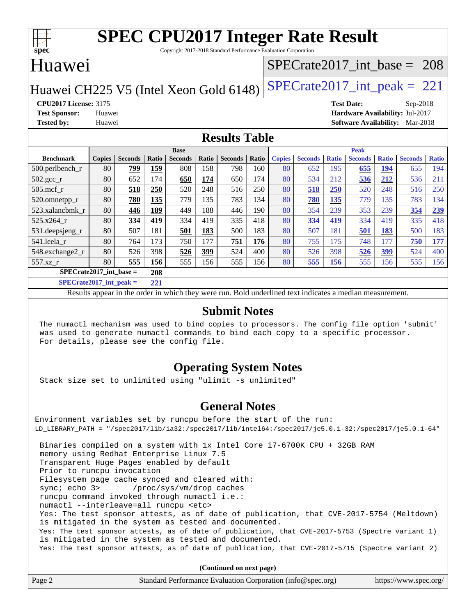

Copyright 2017-2018 Standard Performance Evaluation Corporation

# Huawei

## [SPECrate2017\\_int\\_base =](http://www.spec.org/auto/cpu2017/Docs/result-fields.html#SPECrate2017intbase) 208

Huawei CH225 V5 (Intel Xeon Gold  $6148$ ) [SPECrate2017\\_int\\_peak =](http://www.spec.org/auto/cpu2017/Docs/result-fields.html#SPECrate2017intpeak) 221

**[CPU2017 License:](http://www.spec.org/auto/cpu2017/Docs/result-fields.html#CPU2017License)** 3175 **[Test Date:](http://www.spec.org/auto/cpu2017/Docs/result-fields.html#TestDate)** Sep-2018 **[Test Sponsor:](http://www.spec.org/auto/cpu2017/Docs/result-fields.html#TestSponsor)** Huawei **[Hardware Availability:](http://www.spec.org/auto/cpu2017/Docs/result-fields.html#HardwareAvailability)** Jul-2017 **[Tested by:](http://www.spec.org/auto/cpu2017/Docs/result-fields.html#Testedby)** Huawei **[Software Availability:](http://www.spec.org/auto/cpu2017/Docs/result-fields.html#SoftwareAvailability)** Mar-2018

#### **[Results Table](http://www.spec.org/auto/cpu2017/Docs/result-fields.html#ResultsTable)**

|                             |               |                |       | <b>Base</b>    |       |                |       |               |                |              | <b>Peak</b>    |              |                |              |
|-----------------------------|---------------|----------------|-------|----------------|-------|----------------|-------|---------------|----------------|--------------|----------------|--------------|----------------|--------------|
| <b>Benchmark</b>            | <b>Copies</b> | <b>Seconds</b> | Ratio | <b>Seconds</b> | Ratio | <b>Seconds</b> | Ratio | <b>Copies</b> | <b>Seconds</b> | <b>Ratio</b> | <b>Seconds</b> | <b>Ratio</b> | <b>Seconds</b> | <b>Ratio</b> |
| $500.$ perlbench_r          | 80            | 799            | 159   | 808            | 158   | 798            | 160   | 80            | 652            | 195          | 655            | 194          | 655            | 194          |
| 502.gcc_r                   | 80            | 652            | 174   | 650            | 174   | 650            | 174   | 80            | 534            | 212          | 536            | 212          | 536            | 211          |
| $505$ .mcf r                | 80            | 518            | 250   | 520            | 248   | 516            | 250   | 80            | 518            | 250          | 520            | 248          | 516            | 250          |
| 520.omnetpp_r               | 80            | 780            | 135   | 779            | 135   | 783            | 134   | 80            | 780            | 135          | 779            | 135          | 783            | 134          |
| 523.xalancbmk r             | 80            | 446            | 189   | 449            | 188   | 446            | 190   | 80            | 354            | 239          | 353            | 239          | 354            | 239          |
| $525.x264$ r                | 80            | 334            | 419   | 334            | 419   | 335            | 418   | 80            | 334            | 419          | 334            | 419          | 335            | 418          |
| 531.deepsjeng_r             | 80            | 507            | 181   | 501            | 183   | 500            | 183   | 80            | 507            | 181          | 501            | 183          | 500            | 183          |
| 541.leela r                 | 80            | 764            | 173   | 750            | 177   | 751            | 176   | 80            | 755            | 175          | 748            | 177          | 750            | 177          |
| 548.exchange2_r             | 80            | 526            | 398   | 526            | 399   | 524            | 400   | 80            | 526            | 398          | 526            | <u>399</u>   | 524            | 400          |
| 557.xz r                    | 80            | 555            | 156   | 555            | 156   | 555            | 156   | 80            | 555            | 156          | 555            | 156          | 555            | 156          |
| $SPECrate2017\_int\_base =$ |               |                | 208   |                |       |                |       |               |                |              |                |              |                |              |
| $CDDCA1 + 2017$ $1.4 - 1.1$ |               |                | 221   |                |       |                |       |               |                |              |                |              |                |              |

**[SPECrate2017\\_int\\_peak =](http://www.spec.org/auto/cpu2017/Docs/result-fields.html#SPECrate2017intpeak) 221**

Results appear in the [order in which they were run](http://www.spec.org/auto/cpu2017/Docs/result-fields.html#RunOrder). Bold underlined text [indicates a median measurement](http://www.spec.org/auto/cpu2017/Docs/result-fields.html#Median).

#### **[Submit Notes](http://www.spec.org/auto/cpu2017/Docs/result-fields.html#SubmitNotes)**

 The numactl mechanism was used to bind copies to processors. The config file option 'submit' was used to generate numactl commands to bind each copy to a specific processor. For details, please see the config file.

### **[Operating System Notes](http://www.spec.org/auto/cpu2017/Docs/result-fields.html#OperatingSystemNotes)**

Stack size set to unlimited using "ulimit -s unlimited"

### **[General Notes](http://www.spec.org/auto/cpu2017/Docs/result-fields.html#GeneralNotes)**

Environment variables set by runcpu before the start of the run: LD\_LIBRARY\_PATH = "/spec2017/lib/ia32:/spec2017/lib/intel64:/spec2017/je5.0.1-32:/spec2017/je5.0.1-64" Binaries compiled on a system with 1x Intel Core i7-6700K CPU + 32GB RAM memory using Redhat Enterprise Linux 7.5 Transparent Huge Pages enabled by default Prior to runcpu invocation Filesystem page cache synced and cleared with: sync; echo 3> /proc/sys/vm/drop\_caches runcpu command invoked through numactl i.e.: numactl --interleave=all runcpu <etc> Yes: The test sponsor attests, as of date of publication, that CVE-2017-5754 (Meltdown) is mitigated in the system as tested and documented. Yes: The test sponsor attests, as of date of publication, that CVE-2017-5753 (Spectre variant 1) is mitigated in the system as tested and documented. Yes: The test sponsor attests, as of date of publication, that CVE-2017-5715 (Spectre variant 2)

**(Continued on next page)**

| Page 2 | Standard Performance Evaluation Corporation (info@spec.org) | https://www.spec.org/ |
|--------|-------------------------------------------------------------|-----------------------|
|--------|-------------------------------------------------------------|-----------------------|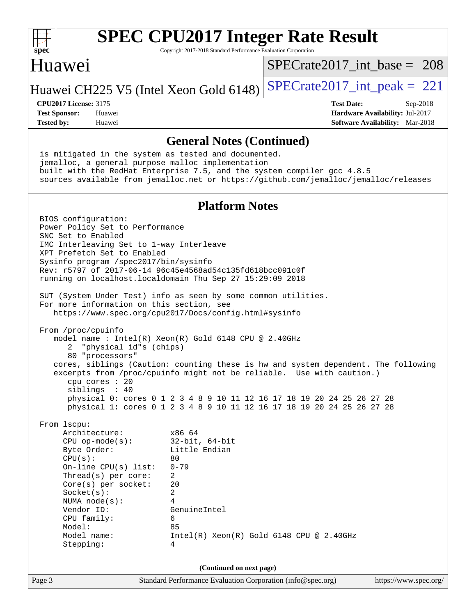

Copyright 2017-2018 Standard Performance Evaluation Corporation

## Huawei

[SPECrate2017\\_int\\_base =](http://www.spec.org/auto/cpu2017/Docs/result-fields.html#SPECrate2017intbase) 208

Huawei CH225 V5 (Intel Xeon Gold 6148) SPECrate  $2017$ \_int\_peak = 221

**[Tested by:](http://www.spec.org/auto/cpu2017/Docs/result-fields.html#Testedby)** Huawei **[Software Availability:](http://www.spec.org/auto/cpu2017/Docs/result-fields.html#SoftwareAvailability)** Mar-2018

**[CPU2017 License:](http://www.spec.org/auto/cpu2017/Docs/result-fields.html#CPU2017License)** 3175 **[Test Date:](http://www.spec.org/auto/cpu2017/Docs/result-fields.html#TestDate)** Sep-2018 **[Test Sponsor:](http://www.spec.org/auto/cpu2017/Docs/result-fields.html#TestSponsor)** Huawei **[Hardware Availability:](http://www.spec.org/auto/cpu2017/Docs/result-fields.html#HardwareAvailability)** Jul-2017

#### **[General Notes \(Continued\)](http://www.spec.org/auto/cpu2017/Docs/result-fields.html#GeneralNotes)**

 is mitigated in the system as tested and documented. jemalloc, a general purpose malloc implementation built with the RedHat Enterprise 7.5, and the system compiler gcc 4.8.5 sources available from jemalloc.net or <https://github.com/jemalloc/jemalloc/releases>

### **[Platform Notes](http://www.spec.org/auto/cpu2017/Docs/result-fields.html#PlatformNotes)**

 BIOS configuration: Power Policy Set to Performance SNC Set to Enabled IMC Interleaving Set to 1-way Interleave XPT Prefetch Set to Enabled Sysinfo program /spec2017/bin/sysinfo Rev: r5797 of 2017-06-14 96c45e4568ad54c135fd618bcc091c0f running on localhost.localdomain Thu Sep 27 15:29:09 2018 SUT (System Under Test) info as seen by some common utilities. For more information on this section, see <https://www.spec.org/cpu2017/Docs/config.html#sysinfo> From /proc/cpuinfo model name : Intel(R) Xeon(R) Gold 6148 CPU @ 2.40GHz 2 "physical id"s (chips) 80 "processors" cores, siblings (Caution: counting these is hw and system dependent. The following excerpts from /proc/cpuinfo might not be reliable. Use with caution.) cpu cores : 20 siblings : 40 physical 0: cores 0 1 2 3 4 8 9 10 11 12 16 17 18 19 20 24 25 26 27 28 physical 1: cores 0 1 2 3 4 8 9 10 11 12 16 17 18 19 20 24 25 26 27 28 From lscpu: Architecture: x86\_64 CPU op-mode(s): 32-bit, 64-bit<br>Byte Order: Little Endian Little Endian  $CPU(s):$  80 On-line CPU(s) list: 0-79 Thread(s) per core: 2 Core(s) per socket: 20 Socket(s): 2 NUMA node(s): 4 Vendor ID: GenuineIntel CPU family: 6 Model: 85 Model name: Intel(R) Xeon(R) Gold 6148 CPU @ 2.40GHz Stepping: 4 **(Continued on next page)**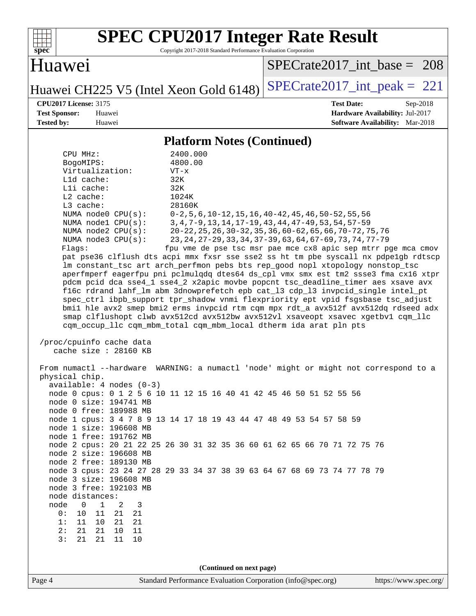

Copyright 2017-2018 Standard Performance Evaluation Corporation

# Huawei

[SPECrate2017\\_int\\_base =](http://www.spec.org/auto/cpu2017/Docs/result-fields.html#SPECrate2017intbase) 208

Huawei CH225 V5 (Intel Xeon Gold 6148) [SPECrate2017\\_int\\_peak =](http://www.spec.org/auto/cpu2017/Docs/result-fields.html#SPECrate2017intpeak) 221

**[CPU2017 License:](http://www.spec.org/auto/cpu2017/Docs/result-fields.html#CPU2017License)** 3175 **[Test Date:](http://www.spec.org/auto/cpu2017/Docs/result-fields.html#TestDate)** Sep-2018 **[Test Sponsor:](http://www.spec.org/auto/cpu2017/Docs/result-fields.html#TestSponsor)** Huawei **[Hardware Availability:](http://www.spec.org/auto/cpu2017/Docs/result-fields.html#HardwareAvailability)** Jul-2017 **[Tested by:](http://www.spec.org/auto/cpu2017/Docs/result-fields.html#Testedby)** Huawei **[Software Availability:](http://www.spec.org/auto/cpu2017/Docs/result-fields.html#SoftwareAvailability)** Mar-2018

### **[Platform Notes \(Continued\)](http://www.spec.org/auto/cpu2017/Docs/result-fields.html#PlatformNotes)**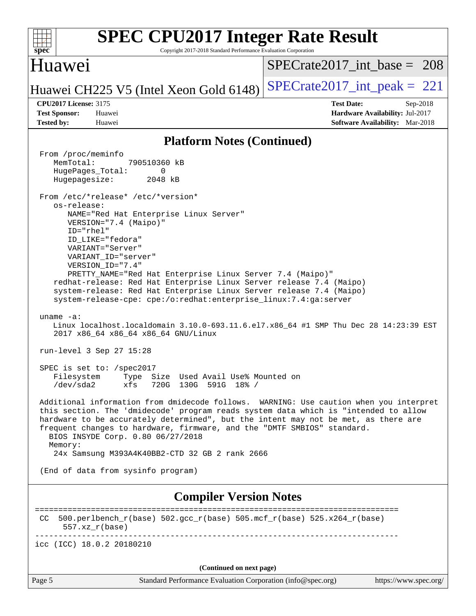| <b>SPEC CPU2017 Integer Rate Result</b><br>Spec<br>Copyright 2017-2018 Standard Performance Evaluation Corporation                                                                                                                                                                                                                                                                                                                                                                                                                                                                                                                                                                                                                                                                                                                                                                                                                                                                                                                                                                                                                                                                                                                                                                                                                                                                                            |                                                                                                              |
|---------------------------------------------------------------------------------------------------------------------------------------------------------------------------------------------------------------------------------------------------------------------------------------------------------------------------------------------------------------------------------------------------------------------------------------------------------------------------------------------------------------------------------------------------------------------------------------------------------------------------------------------------------------------------------------------------------------------------------------------------------------------------------------------------------------------------------------------------------------------------------------------------------------------------------------------------------------------------------------------------------------------------------------------------------------------------------------------------------------------------------------------------------------------------------------------------------------------------------------------------------------------------------------------------------------------------------------------------------------------------------------------------------------|--------------------------------------------------------------------------------------------------------------|
| Huawei                                                                                                                                                                                                                                                                                                                                                                                                                                                                                                                                                                                                                                                                                                                                                                                                                                                                                                                                                                                                                                                                                                                                                                                                                                                                                                                                                                                                        | $SPECrate2017$ int base = 208                                                                                |
| Huawei CH225 V5 (Intel Xeon Gold 6148)                                                                                                                                                                                                                                                                                                                                                                                                                                                                                                                                                                                                                                                                                                                                                                                                                                                                                                                                                                                                                                                                                                                                                                                                                                                                                                                                                                        | $SPECrate2017\_int\_peak = 221$                                                                              |
| <b>CPU2017 License: 3175</b><br><b>Test Sponsor:</b><br>Huawei<br><b>Tested by:</b><br>Huawei                                                                                                                                                                                                                                                                                                                                                                                                                                                                                                                                                                                                                                                                                                                                                                                                                                                                                                                                                                                                                                                                                                                                                                                                                                                                                                                 | <b>Test Date:</b><br>$Sep-2018$<br>Hardware Availability: Jul-2017<br><b>Software Availability:</b> Mar-2018 |
| <b>Platform Notes (Continued)</b>                                                                                                                                                                                                                                                                                                                                                                                                                                                                                                                                                                                                                                                                                                                                                                                                                                                                                                                                                                                                                                                                                                                                                                                                                                                                                                                                                                             |                                                                                                              |
| From /proc/meminfo<br>MemTotal:<br>790510360 kB<br>HugePages_Total:<br>0<br>Hugepagesize:<br>2048 kB<br>From /etc/*release* /etc/*version*<br>os-release:<br>NAME="Red Hat Enterprise Linux Server"<br>VERSION="7.4 (Maipo)"<br>ID="rhel"<br>ID LIKE="fedora"<br>VARIANT="Server"<br>VARIANT_ID="server"<br>VERSION_ID="7.4"<br>PRETTY_NAME="Red Hat Enterprise Linux Server 7.4 (Maipo)"<br>redhat-release: Red Hat Enterprise Linux Server release 7.4 (Maipo)<br>system-release: Red Hat Enterprise Linux Server release 7.4 (Maipo)<br>system-release-cpe: cpe:/o:redhat:enterprise_linux:7.4:ga:server<br>uname $-a$ :<br>Linux localhost.localdomain 3.10.0-693.11.6.el7.x86_64 #1 SMP Thu Dec 28 14:23:39 EST<br>2017 x86_64 x86_64 x86_64 GNU/Linux<br>run-level 3 Sep 27 15:28<br>SPEC is set to: /spec2017<br>Filesystem Type Size Used Avail Use% Mounted on<br>720G 130G 591G 18% /<br>/dev/sda2<br>xfs<br>Additional information from dmidecode follows. WARNING: Use caution when you interpret<br>this section. The 'dmidecode' program reads system data which is "intended to allow<br>hardware to be accurately determined", but the intent may not be met, as there are<br>frequent changes to hardware, firmware, and the "DMTF SMBIOS" standard.<br>BIOS INSYDE Corp. 0.80 06/27/2018<br>Memory:<br>24x Samsung M393A4K40BB2-CTD 32 GB 2 rank 2666<br>(End of data from sysinfo program) |                                                                                                              |
|                                                                                                                                                                                                                                                                                                                                                                                                                                                                                                                                                                                                                                                                                                                                                                                                                                                                                                                                                                                                                                                                                                                                                                                                                                                                                                                                                                                                               |                                                                                                              |
| <b>Compiler Version Notes</b><br>===============                                                                                                                                                                                                                                                                                                                                                                                                                                                                                                                                                                                                                                                                                                                                                                                                                                                                                                                                                                                                                                                                                                                                                                                                                                                                                                                                                              | =======================                                                                                      |
| CC 500.perlbench_r(base) 502.gcc_r(base) 505.mcf_r(base) 525.x264_r(base)<br>$557. xz_r (base)$                                                                                                                                                                                                                                                                                                                                                                                                                                                                                                                                                                                                                                                                                                                                                                                                                                                                                                                                                                                                                                                                                                                                                                                                                                                                                                               |                                                                                                              |
| icc (ICC) 18.0.2 20180210                                                                                                                                                                                                                                                                                                                                                                                                                                                                                                                                                                                                                                                                                                                                                                                                                                                                                                                                                                                                                                                                                                                                                                                                                                                                                                                                                                                     |                                                                                                              |
| (Continued on next page)                                                                                                                                                                                                                                                                                                                                                                                                                                                                                                                                                                                                                                                                                                                                                                                                                                                                                                                                                                                                                                                                                                                                                                                                                                                                                                                                                                                      |                                                                                                              |
| Standard Performance Evaluation Corporation (info@spec.org)<br>Page 5                                                                                                                                                                                                                                                                                                                                                                                                                                                                                                                                                                                                                                                                                                                                                                                                                                                                                                                                                                                                                                                                                                                                                                                                                                                                                                                                         | https://www.spec.org/                                                                                        |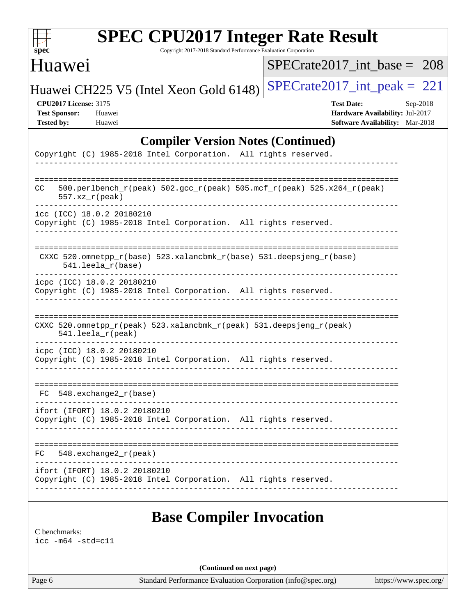| s<br>z | ۹. | e |  |
|--------|----|---|--|

Copyright 2017-2018 Standard Performance Evaluation Corporation

# Huawei

[SPECrate2017\\_int\\_base =](http://www.spec.org/auto/cpu2017/Docs/result-fields.html#SPECrate2017intbase) 208

Huawei CH225 V5 (Intel Xeon Gold 6148) SPECrate  $2017$ \_int\_peak = 221

**[CPU2017 License:](http://www.spec.org/auto/cpu2017/Docs/result-fields.html#CPU2017License)** 3175 **[Test Date:](http://www.spec.org/auto/cpu2017/Docs/result-fields.html#TestDate)** Sep-2018 **[Test Sponsor:](http://www.spec.org/auto/cpu2017/Docs/result-fields.html#TestSponsor)** Huawei **[Hardware Availability:](http://www.spec.org/auto/cpu2017/Docs/result-fields.html#HardwareAvailability)** Jul-2017 **[Tested by:](http://www.spec.org/auto/cpu2017/Docs/result-fields.html#Testedby)** Huawei **[Software Availability:](http://www.spec.org/auto/cpu2017/Docs/result-fields.html#SoftwareAvailability)** Mar-2018

### **[Compiler Version Notes \(Continued\)](http://www.spec.org/auto/cpu2017/Docs/result-fields.html#CompilerVersionNotes)**

|     |                                 | Copyright (C) 1985-2018 Intel Corporation. All rights reserved.        |
|-----|---------------------------------|------------------------------------------------------------------------|
|     |                                 |                                                                        |
| CC. | $557. xz_r (peak)$              | 500.perlbench_r(peak) 502.gcc_r(peak) 505.mcf_r(peak) 525.x264_r(peak) |
|     | icc (ICC) 18.0.2 20180210       | Copyright (C) 1985-2018 Intel Corporation. All rights reserved.        |
|     | 541.leela r(base)               | CXXC 520.omnetpp_r(base) 523.xalancbmk_r(base) 531.deepsjeng_r(base)   |
|     | icpc (ICC) 18.0.2 20180210      | Copyright (C) 1985-2018 Intel Corporation. All rights reserved.        |
|     | 541.leela_r(peak)               | CXXC 520.omnetpp_r(peak) 523.xalancbmk_r(peak) 531.deepsjeng_r(peak)   |
|     | icpc (ICC) 18.0.2 20180210      | Copyright (C) 1985-2018 Intel Corporation. All rights reserved.        |
|     | $FC 548. exchange2_r(base)$     |                                                                        |
|     | ifort (IFORT) 18.0.2 20180210   | Copyright (C) 1985-2018 Intel Corporation. All rights reserved.        |
|     | $FC$ 548. exchange $2_r$ (peak) |                                                                        |
|     | ifort (IFORT) 18.0.2 20180210   | Copyright (C) 1985-2018 Intel Corporation. All rights reserved.        |

## **[Base Compiler Invocation](http://www.spec.org/auto/cpu2017/Docs/result-fields.html#BaseCompilerInvocation)**

[C benchmarks](http://www.spec.org/auto/cpu2017/Docs/result-fields.html#Cbenchmarks):

[icc -m64 -std=c11](http://www.spec.org/cpu2017/results/res2018q4/cpu2017-20181007-09083.flags.html#user_CCbase_intel_icc_64bit_c11_33ee0cdaae7deeeab2a9725423ba97205ce30f63b9926c2519791662299b76a0318f32ddfffdc46587804de3178b4f9328c46fa7c2b0cd779d7a61945c91cd35)

**(Continued on next page)**

Page 6 Standard Performance Evaluation Corporation [\(info@spec.org\)](mailto:info@spec.org) <https://www.spec.org/>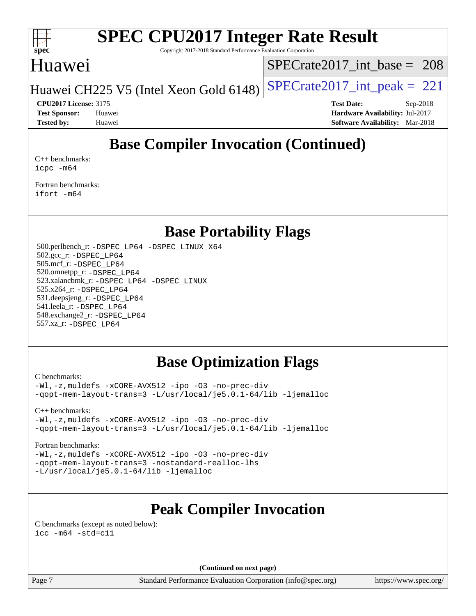

Copyright 2017-2018 Standard Performance Evaluation Corporation

# Huawei

[SPECrate2017\\_int\\_base =](http://www.spec.org/auto/cpu2017/Docs/result-fields.html#SPECrate2017intbase) 208

Huawei CH225 V5 (Intel Xeon Gold 6148) SPECrate  $2017$ \_int\_peak = 221

**[CPU2017 License:](http://www.spec.org/auto/cpu2017/Docs/result-fields.html#CPU2017License)** 3175 **[Test Date:](http://www.spec.org/auto/cpu2017/Docs/result-fields.html#TestDate)** Sep-2018 **[Test Sponsor:](http://www.spec.org/auto/cpu2017/Docs/result-fields.html#TestSponsor)** Huawei **[Hardware Availability:](http://www.spec.org/auto/cpu2017/Docs/result-fields.html#HardwareAvailability)** Jul-2017 **[Tested by:](http://www.spec.org/auto/cpu2017/Docs/result-fields.html#Testedby)** Huawei **[Software Availability:](http://www.spec.org/auto/cpu2017/Docs/result-fields.html#SoftwareAvailability)** Mar-2018

# **[Base Compiler Invocation \(Continued\)](http://www.spec.org/auto/cpu2017/Docs/result-fields.html#BaseCompilerInvocation)**

[C++ benchmarks:](http://www.spec.org/auto/cpu2017/Docs/result-fields.html#CXXbenchmarks) [icpc -m64](http://www.spec.org/cpu2017/results/res2018q4/cpu2017-20181007-09083.flags.html#user_CXXbase_intel_icpc_64bit_4ecb2543ae3f1412ef961e0650ca070fec7b7afdcd6ed48761b84423119d1bf6bdf5cad15b44d48e7256388bc77273b966e5eb805aefd121eb22e9299b2ec9d9)

[Fortran benchmarks](http://www.spec.org/auto/cpu2017/Docs/result-fields.html#Fortranbenchmarks): [ifort -m64](http://www.spec.org/cpu2017/results/res2018q4/cpu2017-20181007-09083.flags.html#user_FCbase_intel_ifort_64bit_24f2bb282fbaeffd6157abe4f878425411749daecae9a33200eee2bee2fe76f3b89351d69a8130dd5949958ce389cf37ff59a95e7a40d588e8d3a57e0c3fd751)

## **[Base Portability Flags](http://www.spec.org/auto/cpu2017/Docs/result-fields.html#BasePortabilityFlags)**

 500.perlbench\_r: [-DSPEC\\_LP64](http://www.spec.org/cpu2017/results/res2018q4/cpu2017-20181007-09083.flags.html#b500.perlbench_r_basePORTABILITY_DSPEC_LP64) [-DSPEC\\_LINUX\\_X64](http://www.spec.org/cpu2017/results/res2018q4/cpu2017-20181007-09083.flags.html#b500.perlbench_r_baseCPORTABILITY_DSPEC_LINUX_X64) 502.gcc\_r: [-DSPEC\\_LP64](http://www.spec.org/cpu2017/results/res2018q4/cpu2017-20181007-09083.flags.html#suite_basePORTABILITY502_gcc_r_DSPEC_LP64) 505.mcf\_r: [-DSPEC\\_LP64](http://www.spec.org/cpu2017/results/res2018q4/cpu2017-20181007-09083.flags.html#suite_basePORTABILITY505_mcf_r_DSPEC_LP64) 520.omnetpp\_r: [-DSPEC\\_LP64](http://www.spec.org/cpu2017/results/res2018q4/cpu2017-20181007-09083.flags.html#suite_basePORTABILITY520_omnetpp_r_DSPEC_LP64) 523.xalancbmk\_r: [-DSPEC\\_LP64](http://www.spec.org/cpu2017/results/res2018q4/cpu2017-20181007-09083.flags.html#suite_basePORTABILITY523_xalancbmk_r_DSPEC_LP64) [-DSPEC\\_LINUX](http://www.spec.org/cpu2017/results/res2018q4/cpu2017-20181007-09083.flags.html#b523.xalancbmk_r_baseCXXPORTABILITY_DSPEC_LINUX) 525.x264\_r: [-DSPEC\\_LP64](http://www.spec.org/cpu2017/results/res2018q4/cpu2017-20181007-09083.flags.html#suite_basePORTABILITY525_x264_r_DSPEC_LP64) 531.deepsjeng\_r: [-DSPEC\\_LP64](http://www.spec.org/cpu2017/results/res2018q4/cpu2017-20181007-09083.flags.html#suite_basePORTABILITY531_deepsjeng_r_DSPEC_LP64) 541.leela\_r: [-DSPEC\\_LP64](http://www.spec.org/cpu2017/results/res2018q4/cpu2017-20181007-09083.flags.html#suite_basePORTABILITY541_leela_r_DSPEC_LP64) 548.exchange2\_r: [-DSPEC\\_LP64](http://www.spec.org/cpu2017/results/res2018q4/cpu2017-20181007-09083.flags.html#suite_basePORTABILITY548_exchange2_r_DSPEC_LP64) 557.xz\_r: [-DSPEC\\_LP64](http://www.spec.org/cpu2017/results/res2018q4/cpu2017-20181007-09083.flags.html#suite_basePORTABILITY557_xz_r_DSPEC_LP64)

# **[Base Optimization Flags](http://www.spec.org/auto/cpu2017/Docs/result-fields.html#BaseOptimizationFlags)**

[C benchmarks](http://www.spec.org/auto/cpu2017/Docs/result-fields.html#Cbenchmarks):

[-Wl,-z,muldefs](http://www.spec.org/cpu2017/results/res2018q4/cpu2017-20181007-09083.flags.html#user_CCbase_link_force_multiple1_b4cbdb97b34bdee9ceefcfe54f4c8ea74255f0b02a4b23e853cdb0e18eb4525ac79b5a88067c842dd0ee6996c24547a27a4b99331201badda8798ef8a743f577) [-xCORE-AVX512](http://www.spec.org/cpu2017/results/res2018q4/cpu2017-20181007-09083.flags.html#user_CCbase_f-xCORE-AVX512) [-ipo](http://www.spec.org/cpu2017/results/res2018q4/cpu2017-20181007-09083.flags.html#user_CCbase_f-ipo) [-O3](http://www.spec.org/cpu2017/results/res2018q4/cpu2017-20181007-09083.flags.html#user_CCbase_f-O3) [-no-prec-div](http://www.spec.org/cpu2017/results/res2018q4/cpu2017-20181007-09083.flags.html#user_CCbase_f-no-prec-div) [-qopt-mem-layout-trans=3](http://www.spec.org/cpu2017/results/res2018q4/cpu2017-20181007-09083.flags.html#user_CCbase_f-qopt-mem-layout-trans_de80db37974c74b1f0e20d883f0b675c88c3b01e9d123adea9b28688d64333345fb62bc4a798493513fdb68f60282f9a726aa07f478b2f7113531aecce732043) [-L/usr/local/je5.0.1-64/lib](http://www.spec.org/cpu2017/results/res2018q4/cpu2017-20181007-09083.flags.html#user_CCbase_jemalloc_link_path64_4b10a636b7bce113509b17f3bd0d6226c5fb2346b9178c2d0232c14f04ab830f976640479e5c33dc2bcbbdad86ecfb6634cbbd4418746f06f368b512fced5394) [-ljemalloc](http://www.spec.org/cpu2017/results/res2018q4/cpu2017-20181007-09083.flags.html#user_CCbase_jemalloc_link_lib_d1249b907c500fa1c0672f44f562e3d0f79738ae9e3c4a9c376d49f265a04b9c99b167ecedbf6711b3085be911c67ff61f150a17b3472be731631ba4d0471706)

[C++ benchmarks:](http://www.spec.org/auto/cpu2017/Docs/result-fields.html#CXXbenchmarks)

[-Wl,-z,muldefs](http://www.spec.org/cpu2017/results/res2018q4/cpu2017-20181007-09083.flags.html#user_CXXbase_link_force_multiple1_b4cbdb97b34bdee9ceefcfe54f4c8ea74255f0b02a4b23e853cdb0e18eb4525ac79b5a88067c842dd0ee6996c24547a27a4b99331201badda8798ef8a743f577) [-xCORE-AVX512](http://www.spec.org/cpu2017/results/res2018q4/cpu2017-20181007-09083.flags.html#user_CXXbase_f-xCORE-AVX512) [-ipo](http://www.spec.org/cpu2017/results/res2018q4/cpu2017-20181007-09083.flags.html#user_CXXbase_f-ipo) [-O3](http://www.spec.org/cpu2017/results/res2018q4/cpu2017-20181007-09083.flags.html#user_CXXbase_f-O3) [-no-prec-div](http://www.spec.org/cpu2017/results/res2018q4/cpu2017-20181007-09083.flags.html#user_CXXbase_f-no-prec-div) [-qopt-mem-layout-trans=3](http://www.spec.org/cpu2017/results/res2018q4/cpu2017-20181007-09083.flags.html#user_CXXbase_f-qopt-mem-layout-trans_de80db37974c74b1f0e20d883f0b675c88c3b01e9d123adea9b28688d64333345fb62bc4a798493513fdb68f60282f9a726aa07f478b2f7113531aecce732043) [-L/usr/local/je5.0.1-64/lib](http://www.spec.org/cpu2017/results/res2018q4/cpu2017-20181007-09083.flags.html#user_CXXbase_jemalloc_link_path64_4b10a636b7bce113509b17f3bd0d6226c5fb2346b9178c2d0232c14f04ab830f976640479e5c33dc2bcbbdad86ecfb6634cbbd4418746f06f368b512fced5394) [-ljemalloc](http://www.spec.org/cpu2017/results/res2018q4/cpu2017-20181007-09083.flags.html#user_CXXbase_jemalloc_link_lib_d1249b907c500fa1c0672f44f562e3d0f79738ae9e3c4a9c376d49f265a04b9c99b167ecedbf6711b3085be911c67ff61f150a17b3472be731631ba4d0471706)

#### [Fortran benchmarks](http://www.spec.org/auto/cpu2017/Docs/result-fields.html#Fortranbenchmarks):

[-Wl,-z,muldefs](http://www.spec.org/cpu2017/results/res2018q4/cpu2017-20181007-09083.flags.html#user_FCbase_link_force_multiple1_b4cbdb97b34bdee9ceefcfe54f4c8ea74255f0b02a4b23e853cdb0e18eb4525ac79b5a88067c842dd0ee6996c24547a27a4b99331201badda8798ef8a743f577) [-xCORE-AVX512](http://www.spec.org/cpu2017/results/res2018q4/cpu2017-20181007-09083.flags.html#user_FCbase_f-xCORE-AVX512) [-ipo](http://www.spec.org/cpu2017/results/res2018q4/cpu2017-20181007-09083.flags.html#user_FCbase_f-ipo) [-O3](http://www.spec.org/cpu2017/results/res2018q4/cpu2017-20181007-09083.flags.html#user_FCbase_f-O3) [-no-prec-div](http://www.spec.org/cpu2017/results/res2018q4/cpu2017-20181007-09083.flags.html#user_FCbase_f-no-prec-div) [-qopt-mem-layout-trans=3](http://www.spec.org/cpu2017/results/res2018q4/cpu2017-20181007-09083.flags.html#user_FCbase_f-qopt-mem-layout-trans_de80db37974c74b1f0e20d883f0b675c88c3b01e9d123adea9b28688d64333345fb62bc4a798493513fdb68f60282f9a726aa07f478b2f7113531aecce732043) [-nostandard-realloc-lhs](http://www.spec.org/cpu2017/results/res2018q4/cpu2017-20181007-09083.flags.html#user_FCbase_f_2003_std_realloc_82b4557e90729c0f113870c07e44d33d6f5a304b4f63d4c15d2d0f1fab99f5daaed73bdb9275d9ae411527f28b936061aa8b9c8f2d63842963b95c9dd6426b8a) [-L/usr/local/je5.0.1-64/lib](http://www.spec.org/cpu2017/results/res2018q4/cpu2017-20181007-09083.flags.html#user_FCbase_jemalloc_link_path64_4b10a636b7bce113509b17f3bd0d6226c5fb2346b9178c2d0232c14f04ab830f976640479e5c33dc2bcbbdad86ecfb6634cbbd4418746f06f368b512fced5394) [-ljemalloc](http://www.spec.org/cpu2017/results/res2018q4/cpu2017-20181007-09083.flags.html#user_FCbase_jemalloc_link_lib_d1249b907c500fa1c0672f44f562e3d0f79738ae9e3c4a9c376d49f265a04b9c99b167ecedbf6711b3085be911c67ff61f150a17b3472be731631ba4d0471706)

# **[Peak Compiler Invocation](http://www.spec.org/auto/cpu2017/Docs/result-fields.html#PeakCompilerInvocation)**

[C benchmarks \(except as noted below\)](http://www.spec.org/auto/cpu2017/Docs/result-fields.html#Cbenchmarksexceptasnotedbelow): [icc -m64 -std=c11](http://www.spec.org/cpu2017/results/res2018q4/cpu2017-20181007-09083.flags.html#user_CCpeak_intel_icc_64bit_c11_33ee0cdaae7deeeab2a9725423ba97205ce30f63b9926c2519791662299b76a0318f32ddfffdc46587804de3178b4f9328c46fa7c2b0cd779d7a61945c91cd35)

**(Continued on next page)**

Page 7 Standard Performance Evaluation Corporation [\(info@spec.org\)](mailto:info@spec.org) <https://www.spec.org/>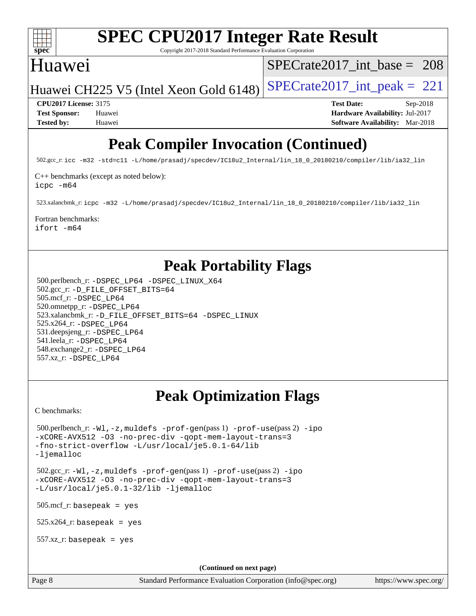

Copyright 2017-2018 Standard Performance Evaluation Corporation

# Huawei

[SPECrate2017\\_int\\_base =](http://www.spec.org/auto/cpu2017/Docs/result-fields.html#SPECrate2017intbase) 208

Huawei CH225 V5 (Intel Xeon Gold 6148) SPECrate  $2017$ \_int\_peak = 221

**[CPU2017 License:](http://www.spec.org/auto/cpu2017/Docs/result-fields.html#CPU2017License)** 3175 **[Test Date:](http://www.spec.org/auto/cpu2017/Docs/result-fields.html#TestDate)** Sep-2018 **[Test Sponsor:](http://www.spec.org/auto/cpu2017/Docs/result-fields.html#TestSponsor)** Huawei **[Hardware Availability:](http://www.spec.org/auto/cpu2017/Docs/result-fields.html#HardwareAvailability)** Jul-2017 **[Tested by:](http://www.spec.org/auto/cpu2017/Docs/result-fields.html#Testedby)** Huawei **[Software Availability:](http://www.spec.org/auto/cpu2017/Docs/result-fields.html#SoftwareAvailability)** Mar-2018

# **[Peak Compiler Invocation \(Continued\)](http://www.spec.org/auto/cpu2017/Docs/result-fields.html#PeakCompilerInvocation)**

502.gcc\_r: [icc -m32 -std=c11 -L/home/prasadj/specdev/IC18u2\\_Internal/lin\\_18\\_0\\_20180210/compiler/lib/ia32\\_lin](http://www.spec.org/cpu2017/results/res2018q4/cpu2017-20181007-09083.flags.html#user_peakCCLD502_gcc_r_intel_icc_a481ac844e7127046fad14d498c730a1848fa901fbbb2c3dfdd5e9fbbac777c8009953946d55d8b6afe8ed0da70dd2b4f8dedbdf7ab1ee211ba70d24a5d89f85)

[C++ benchmarks \(except as noted below\):](http://www.spec.org/auto/cpu2017/Docs/result-fields.html#CXXbenchmarksexceptasnotedbelow)

[icpc -m64](http://www.spec.org/cpu2017/results/res2018q4/cpu2017-20181007-09083.flags.html#user_CXXpeak_intel_icpc_64bit_4ecb2543ae3f1412ef961e0650ca070fec7b7afdcd6ed48761b84423119d1bf6bdf5cad15b44d48e7256388bc77273b966e5eb805aefd121eb22e9299b2ec9d9)

523.xalancbmk\_r: [icpc -m32 -L/home/prasadj/specdev/IC18u2\\_Internal/lin\\_18\\_0\\_20180210/compiler/lib/ia32\\_lin](http://www.spec.org/cpu2017/results/res2018q4/cpu2017-20181007-09083.flags.html#user_peakCXXLD523_xalancbmk_r_intel_icpc_c6d030cd79af6ea7d6fb64c57e8fe7ae8fe0b96fc5a3b3f4a10e3273b3d7fa9decd8263f6330cef23f751cb093a69fae84a2bf4c243500a8eed069248128076f)

### [Fortran benchmarks](http://www.spec.org/auto/cpu2017/Docs/result-fields.html#Fortranbenchmarks):

[ifort -m64](http://www.spec.org/cpu2017/results/res2018q4/cpu2017-20181007-09083.flags.html#user_FCpeak_intel_ifort_64bit_24f2bb282fbaeffd6157abe4f878425411749daecae9a33200eee2bee2fe76f3b89351d69a8130dd5949958ce389cf37ff59a95e7a40d588e8d3a57e0c3fd751)

# **[Peak Portability Flags](http://www.spec.org/auto/cpu2017/Docs/result-fields.html#PeakPortabilityFlags)**

 500.perlbench\_r: [-DSPEC\\_LP64](http://www.spec.org/cpu2017/results/res2018q4/cpu2017-20181007-09083.flags.html#b500.perlbench_r_peakPORTABILITY_DSPEC_LP64) [-DSPEC\\_LINUX\\_X64](http://www.spec.org/cpu2017/results/res2018q4/cpu2017-20181007-09083.flags.html#b500.perlbench_r_peakCPORTABILITY_DSPEC_LINUX_X64) 502.gcc\_r: [-D\\_FILE\\_OFFSET\\_BITS=64](http://www.spec.org/cpu2017/results/res2018q4/cpu2017-20181007-09083.flags.html#user_peakPORTABILITY502_gcc_r_file_offset_bits_64_5ae949a99b284ddf4e95728d47cb0843d81b2eb0e18bdfe74bbf0f61d0b064f4bda2f10ea5eb90e1dcab0e84dbc592acfc5018bc955c18609f94ddb8d550002c) 505.mcf\_r: [-DSPEC\\_LP64](http://www.spec.org/cpu2017/results/res2018q4/cpu2017-20181007-09083.flags.html#suite_peakPORTABILITY505_mcf_r_DSPEC_LP64) 520.omnetpp\_r: [-DSPEC\\_LP64](http://www.spec.org/cpu2017/results/res2018q4/cpu2017-20181007-09083.flags.html#suite_peakPORTABILITY520_omnetpp_r_DSPEC_LP64) 523.xalancbmk\_r: [-D\\_FILE\\_OFFSET\\_BITS=64](http://www.spec.org/cpu2017/results/res2018q4/cpu2017-20181007-09083.flags.html#user_peakPORTABILITY523_xalancbmk_r_file_offset_bits_64_5ae949a99b284ddf4e95728d47cb0843d81b2eb0e18bdfe74bbf0f61d0b064f4bda2f10ea5eb90e1dcab0e84dbc592acfc5018bc955c18609f94ddb8d550002c) [-DSPEC\\_LINUX](http://www.spec.org/cpu2017/results/res2018q4/cpu2017-20181007-09083.flags.html#b523.xalancbmk_r_peakCXXPORTABILITY_DSPEC_LINUX) 525.x264\_r: [-DSPEC\\_LP64](http://www.spec.org/cpu2017/results/res2018q4/cpu2017-20181007-09083.flags.html#suite_peakPORTABILITY525_x264_r_DSPEC_LP64) 531.deepsjeng\_r: [-DSPEC\\_LP64](http://www.spec.org/cpu2017/results/res2018q4/cpu2017-20181007-09083.flags.html#suite_peakPORTABILITY531_deepsjeng_r_DSPEC_LP64) 541.leela\_r: [-DSPEC\\_LP64](http://www.spec.org/cpu2017/results/res2018q4/cpu2017-20181007-09083.flags.html#suite_peakPORTABILITY541_leela_r_DSPEC_LP64) 548.exchange2\_r: [-DSPEC\\_LP64](http://www.spec.org/cpu2017/results/res2018q4/cpu2017-20181007-09083.flags.html#suite_peakPORTABILITY548_exchange2_r_DSPEC_LP64) 557.xz\_r: [-DSPEC\\_LP64](http://www.spec.org/cpu2017/results/res2018q4/cpu2017-20181007-09083.flags.html#suite_peakPORTABILITY557_xz_r_DSPEC_LP64)

# **[Peak Optimization Flags](http://www.spec.org/auto/cpu2017/Docs/result-fields.html#PeakOptimizationFlags)**

[C benchmarks](http://www.spec.org/auto/cpu2017/Docs/result-fields.html#Cbenchmarks):

```
 500.perlbench_r: -Wl,-z,muldefs -prof-gen(pass 1) -prof-use(pass 2) -ipo
-xCORE-AVX512 -O3 -no-prec-div -qopt-mem-layout-trans=3
-fno-strict-overflow -L/usr/local/je5.0.1-64/lib
-ljemalloc
 502.gcc_r: -Wl,-z,muldefs -prof-gen(pass 1) -prof-use(pass 2) -ipo
-xCORE-AVX512 -O3 -no-prec-div -qopt-mem-layout-trans=3
-L/usr/local/je5.0.1-32/lib -ljemalloc
 505.mcf_r: basepeak = yes
525.x264<sup>-r:</sup> basepeak = yes
 557.xz_r: basepeak = yes
                                        (Continued on next page)
```
Page 8 Standard Performance Evaluation Corporation [\(info@spec.org\)](mailto:info@spec.org) <https://www.spec.org/>